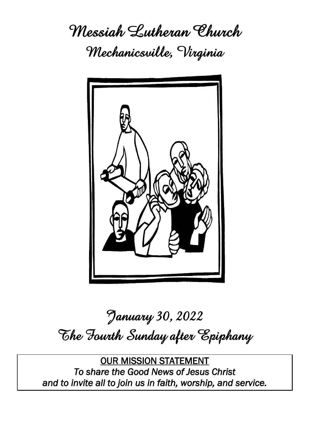**Messiah Lutheran Church Mechanicsville, Virginia**



# **January 30, 2022 The Fourth Sunday after Epiphany**

OUR MISSION STATEMENT *To share the Good News of Jesus Christ and to invite all to join us in faith, worship, and service.*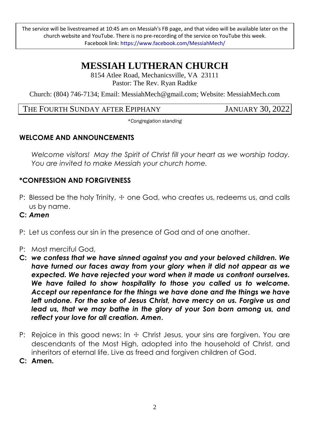The service will be livestreamed at 10:45 am on Messiah's FB page, and that video will be available later on the church website and YouTube. There is no pre-recording of the service on YouTube this week. Facebook link: https://www.facebook.com/MessiahMech/

# **MESSIAH LUTHERAN CHURCH**

8154 Atlee Road, Mechanicsville, VA 23111 Pastor: The Rev. Ryan Radtke

Church: (804) 746-7134; Email: MessiahMech@gmail.com; Website: MessiahMech.com

THE FOURTH SUNDAY AFTER EPIPHANY JANUARY 30, 2022

*\*Congregation standing*

#### **WELCOME AND ANNOUNCEMENTS**

*Welcome visitors! May the Spirit of Christ fill your heart as we worship today. You are invited to make Messiah your church home.*

# **\*CONFESSION AND FORGIVENESS**

- P: Blessed be the holy Trinity,  $\pm$  one God, who creates us, redeems us, and calls us by name.
- **C:** *Amen*
- P: Let us confess our sin in the presence of God and of one another.
- P: Most merciful God,
- **C:** *we confess that we have sinned against you and your beloved children. We have turned our faces away from your glory when it did not appear as we expected. We have rejected your word when it made us confront ourselves. We have failed to show hospitality to those you called us to welcome. Accept our repentance for the things we have done and the things we have left undone. For the sake of Jesus Christ, have mercy on us. Forgive us and lead us, that we may bathe in the glory of your Son born among us, and reflect your love for all creation. Amen***.**
- P: Rejoice in this good news: In  $\pm$  Christ Jesus, your sins are forgiven. You are descendants of the Most High, adopted into the household of Christ, and inheritors of eternal life. Live as freed and forgiven children of God.
- **C: Amen.**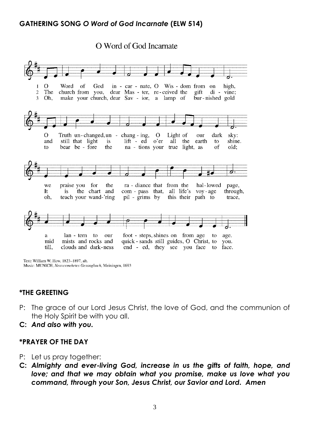#### **GATHERING SONG** *O Word of God Incarnate* **(ELW 514)**

O Word of God Incarnate



Text: William W. How, 1823-1897, alt. Music: MUNICH, Neuvermehrtes Gesangbuch, Meiningen, 1693

#### **\*THE GREETING**

- P: The grace of our Lord Jesus Christ, the love of God, and the communion of the Holy Spirit be with you all.
- **C:** *And also with you.*

#### **\*PRAYER OF THE DAY**

- P: Let us pray together:
- **C:** *Almighty and ever-living God, increase in us the gifts of faith, hope, and love; and that we may obtain what you promise, make us love what you command, through your Son, Jesus Christ, our Savior and Lord. Amen*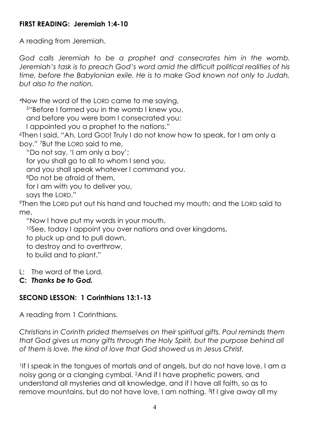#### **FIRST READING: Jeremiah 1:4-10**

A reading from Jeremiah.

*God calls Jeremiah to be a prophet and consecrates him in the womb. Jeremiah's task is to preach God's word amid the difficult political realities of his time, before the Babylonian exile. He is to make God known not only to Judah, but also to the nation.*

<sup>4</sup>Now the word of the LORD came to me saying,

<sup>5</sup>"Before I formed you in the womb I knew you,

and before you were born I consecrated you;

I appointed you a prophet to the nations."

<sup>6</sup>Then I said, "Ah, Lord GOD! Truly I do not know how to speak, for I am only a boy." 7But the LORD said to me,

"Do not say, 'I am only a boy';

for you shall go to all to whom I send you,

and you shall speak whatever I command you.

<sup>8</sup>Do not be afraid of them,

for I am with you to deliver you,

says the LORD."

<sup>9</sup>Then the LORD put out his hand and touched my mouth; and the LORD said to me,

"Now I have put my words in your mouth.

<sup>10</sup>See, today I appoint you over nations and over kingdoms,

to pluck up and to pull down,

to destroy and to overthrow,

to build and to plant."

L: The word of the Lord.

#### **C:** *Thanks be to God.*

# **SECOND LESSON: 1 Corinthians 13:1-13**

A reading from 1 Corinthians.

*Christians in Corinth prided themselves on their spiritual gifts. Paul reminds them that God gives us many gifts through the Holy Spirit, but the purpose behind all of them is love, the kind of love that God showed us in Jesus Christ.*

<sup>1</sup>If I speak in the tongues of mortals and of angels, but do not have love, I am a noisy gong or a clanging cymbal. 2And if I have prophetic powers, and understand all mysteries and all knowledge, and if I have all faith, so as to remove mountains, but do not have love, I am nothing. 3If I give away all my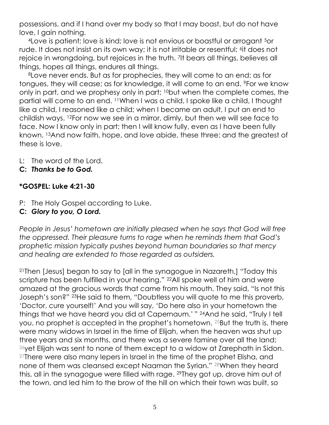possessions, and if I hand over my body so that I may boast, but do not have love, I gain nothing.

<sup>4</sup>Love is patient; love is kind; love is not envious or boastful or arrogant 5or rude. It does not insist on its own way; it is not irritable or resentful; <sup>6</sup>it does not rejoice in wrongdoing, but rejoices in the truth. 7It bears all things, believes all things, hopes all things, endures all things.

<sup>8</sup>Love never ends. But as for prophecies, they will come to an end; as for tongues, they will cease; as for knowledge, it will come to an end. 9For we know only in part, and we prophesy only in part; 10but when the complete comes, the partial will come to an end. 11When I was a child, I spoke like a child, I thought like a child, I reasoned like a child; when I became an adult, I put an end to childish ways. 12For now we see in a mirror, dimly, but then we will see face to face. Now I know only in part; then I will know fully, even as I have been fully known. 13And now faith, hope, and love abide, these three; and the greatest of these is love.

L: The word of the Lord.

**C:** *Thanks be to God.*

# **\*GOSPEL: Luke 4:21-30**

- P: The Holy Gospel according to Luke.
- **C:** *Glory to you, O Lord.*

*People in Jesus' hometown are initially pleased when he says that God will free the oppressed. Their pleasure turns to rage when he reminds them that God's prophetic mission typically pushes beyond human boundaries so that mercy and healing are extended to those regarded as outsiders.*

<sup>21</sup>Then [Jesus] began to say to [all in the synagogue in Nazareth,] "Today this scripture has been fulfilled in your hearing." <sup>22</sup>All spoke well of him and were amazed at the gracious words that came from his mouth. They said, "Is not this Joseph's son?" 23He said to them, "Doubtless you will quote to me this proverb, 'Doctor, cure yourself!' And you will say, 'Do here also in your hometown the things that we have heard you did at Capernaum.' " <sup>24</sup>And he said, "Truly I tell you, no prophet is accepted in the prophet's hometown. 25But the truth is, there were many widows in Israel in the time of Elijah, when the heaven was shut up three years and six months, and there was a severe famine over all the land; <sup>26</sup>yet Elijah was sent to none of them except to a widow at Zarephath in Sidon.  $27$ There were also many lepers in Israel in the time of the prophet Elisha, and none of them was cleansed except Naaman the Syrian." 28When they heard this, all in the synagogue were filled with rage. 29They got up, drove him out of the town, and led him to the brow of the hill on which their town was built, so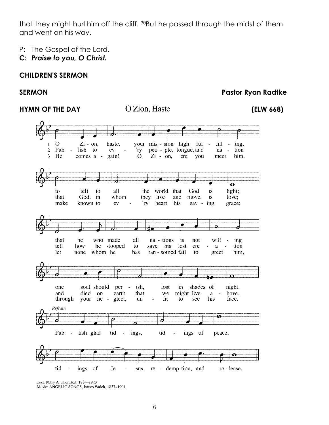that they might hurl him off the cliff. 30But he passed through the midst of them and went on his way.

- P: The Gospel of the Lord.
- **C:** *Praise to you, O Christ.*

#### **CHILDREN'S SERMON**

#### **SERMON Pastor Ryan Radtke**



Text: Mary A. Thomson, 1834-1923 Music: ANGELIC SONGS, James Walch, 1837-1901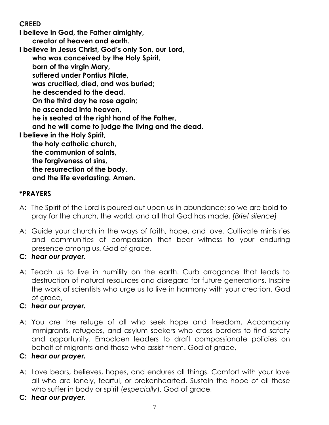# **CREED**

**I believe in God, the Father almighty, creator of heaven and earth. I believe in Jesus Christ, God's only Son, our Lord, who was conceived by the Holy Spirit, born of the virgin Mary, suffered under Pontius Pilate, was crucified, died, and was buried; he descended to the dead. On the third day he rose again; he ascended into heaven, he is seated at the right hand of the Father, and he will come to judge the living and the dead. I believe in the Holy Spirit, the holy catholic church, the communion of saints, the forgiveness of sins, the resurrection of the body, and the life everlasting. Amen.**

#### **\*PRAYERS**

- A: The Spirit of the Lord is poured out upon us in abundance; so we are bold to pray for the church, the world, and all that God has made. *[Brief silence]*
- A: Guide your church in the ways of faith, hope, and love. Cultivate ministries and communities of compassion that bear witness to your enduring presence among us. God of grace,
- **C:** *hear our prayer.*
- A: Teach us to live in humility on the earth. Curb arrogance that leads to destruction of natural resources and disregard for future generations. Inspire the work of scientists who urge us to live in harmony with your creation. God of grace,

#### **C:** *hear our prayer.*

A: You are the refuge of all who seek hope and freedom. Accompany immigrants, refugees, and asylum seekers who cross borders to find safety and opportunity. Embolden leaders to draft compassionate policies on behalf of migrants and those who assist them. God of grace,

#### **C:** *hear our prayer.*

- A: Love bears, believes, hopes, and endures all things. Comfort with your love all who are lonely, fearful, or brokenhearted. Sustain the hope of all those who suffer in body or spirit (*especially*). God of grace,
- **C:** *hear our prayer.*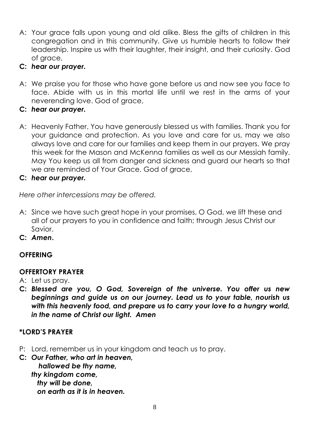A: Your grace falls upon young and old alike. Bless the gifts of children in this congregation and in this community. Give us humble hearts to follow their leadership. Inspire us with their laughter, their insight, and their curiosity. God of grace,

#### **C:** *hear our prayer.*

A: We praise you for those who have gone before us and now see you face to face. Abide with us in this mortal life until we rest in the arms of your neverending love. God of grace,

# **C:** *hear our prayer.*

- A: Heavenly Father, You have generously blessed us with families. Thank you for your guidance and protection. As you love and care for us, may we also always love and care for our families and keep them in our prayers. We pray this week for the Mason and McKenna families as well as our Messiah family. May You keep us all from danger and sickness and guard our hearts so that we are reminded of Your Grace. God of grace,
- **C:** *hear our prayer.*

*Here other intercessions may be offered.*

- A: Since we have such great hope in your promises, O God, we lift these and all of our prayers to you in confidence and faith; through Jesus Christ our Savior.
- **C:** *Amen***.**

# **OFFERING**

# **OFFERTORY PRAYER**

- A: Let us pray.
- **C:** *Blessed are you, O God, Sovereign of the universe. You offer us new beginnings and guide us on our journey. Lead us to your table, nourish us with this heavenly food, and prepare us to carry your love to a hungry world, in the name of Christ our light. Amen*

# **\*LORD'S PRAYER**

- P: Lord, remember us in your kingdom and teach us to pray.
- **C:** *Our Father, who art in heaven, hallowed be thy name, thy kingdom come, thy will be done, on earth as it is in heaven.*

8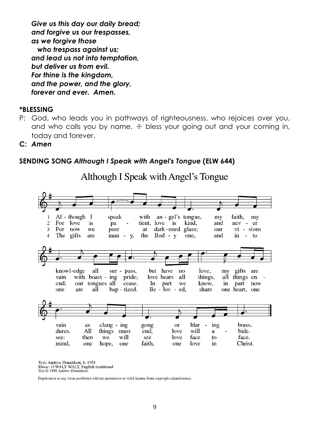*Give us this day our daily bread; and forgive us our trespasses, as we forgive those who trespass against us; and lead us not into temptation, but deliver us from evil. For thine is the kingdom, and the power, and the glory, forever and ever. Amen.*

#### **\*BLESSING**

- P: God, who leads you in pathways of righteousness, who rejoices over you, and who calls you by name,  $+$  bless your going out and your coming in, today and forever.
- **C:** *Amen*

#### **SENDING SONG** *Although I Speak with Angel's Tongue* **(ELW 644)**

Although I Speak with Angel's Tongue



Text: Andrew Donaldson, b. 1951 Music: O WALY WALY, English traditional Text © 1995 Andrew Donaldson

Duplication in any form prohibited without permission or valid license from copyright administrator.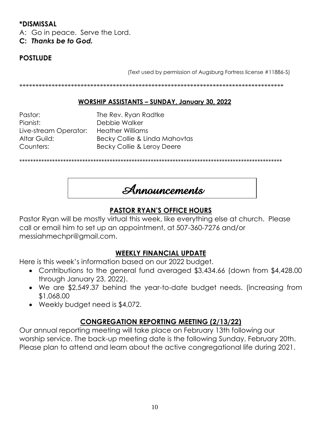#### **\*DISMISSAL**

A: Go in peace. Serve the Lord.

**C:** *Thanks be to God.*

# **POSTLUDE**

(Text used by permission of Augsburg Fortress license #11886-S)

\*\*\*\*\*\*\*\*\*\*\*\*\*\*\*\*\*\*\*\*\*\*\*\*\*\*\*\*\*\*\*\*\*\*\*\*\*\*\*\*\*\*\*\*\*\*\*\*\*\*\*\*\*\*\*\*\*\*\*\*\*\*\*\*\*\*\*\*\*\*\*\*\*\*\*\*\*\*\*\*\*\*

#### **WORSHIP ASSISTANTS – SUNDAY, January 30, 2022**

Pastor: The Rev. Ryan Radtke Pianist: Debbie Walker Live-stream Operator: Heather Williams

Altar Guild: Becky Collie & Linda Mahovtas Counters: Becky Collie & Leroy Deere

\*\*\*\*\*\*\*\*\*\*\*\*\*\*\*\*\*\*\*\*\*\*\*\*\*\*\*\*\*\*\*\*\*\*\*\*\*\*\*\*\*\*\*\*\*\*\*\*\*\*\*\*\*\*\*\*\*\*\*\*\*\*\*\*\*\*\*\*\*\*\*\*\*\*\*\*\*\*\*\*\*\*\*\*\*\*\*\*\*\*\*\*\*\*\*\*

**Announcements**

#### **PASTOR RYAN'S OFFICE HOURS**

Pastor Ryan will be mostly virtual this week, like everything else at church. Please call or email him to set up an appointment, at 507-360-7276 and/or messiahmechpr@gmail.com.

#### **WEEKLY FINANCIAL UPDATE**

Here is this week's information based on our 2022 budget.

- Contributions to the general fund averaged \$3,434.66 (down from \$4,428.00 through January 23, 2022).
- We are \$2,549.37 behind the year-to-date budget needs. (increasing from \$1,068.00
- Weekly budget need is \$4,072.

#### **CONGREGATION REPORTING MEETING (2/13/22)**

Our annual reporting meeting will take place on February 13th following our worship service. The back-up meeting date is the following Sunday, February 20th. Please plan to attend and learn about the active congregational life during 2021.